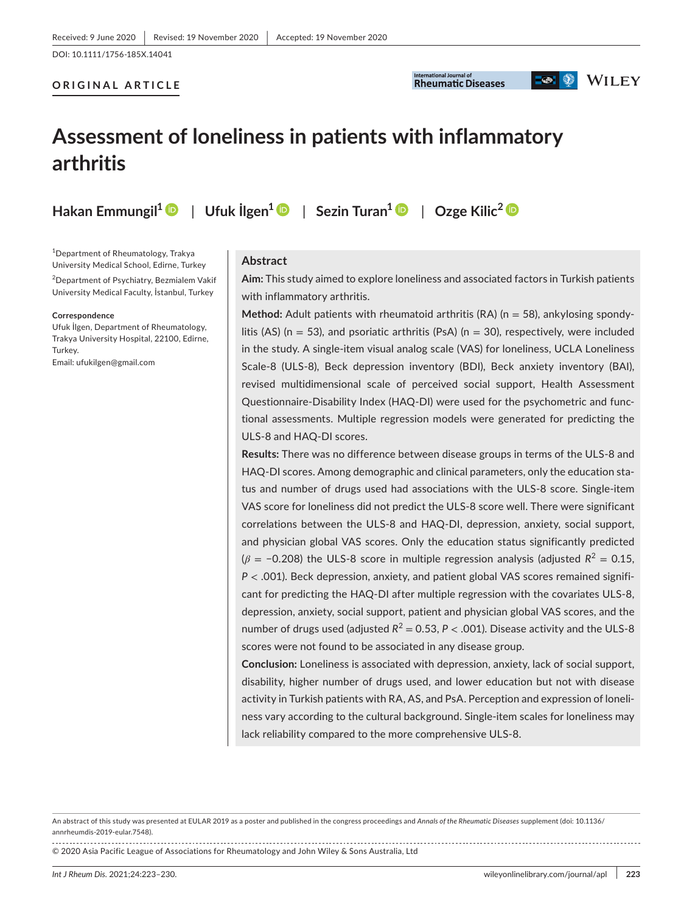DOI: 10.1111/1756-185X.14041

## **ORIGINAL ARTICLE**



# **D**  $\otimes$  WILEY

# **Assessment of loneliness in patients with inflammatory arthritis**

**Hakan Emmungil[1](https://orcid.org/0000-0001-5184-4404)** | **Ufuk İlgen<sup>1</sup>** | **Sezin Turan<sup>1</sup>** | **Ozge Kilic[2](https://orcid.org/0000-0001-9764-343X)**

1 Department of Rheumatology, Trakya University Medical School, Edirne, Turkey

2 Department of Psychiatry, Bezmialem Vakif University Medical Faculty, İstanbul, Turkey

#### **Correspondence**

Ufuk İlgen, Department of Rheumatology, Trakya University Hospital, 22100, Edirne, Turkey. Email: [ufukilgen@gmail.com](mailto:ufukilgen@gmail.com)

## **Abstract**

**Aim:** This study aimed to explore loneliness and associated factors in Turkish patients with inflammatory arthritis.

**Method:** Adult patients with rheumatoid arthritis (RA) (n = 58), ankylosing spondylitis (AS) ( $n = 53$ ), and psoriatic arthritis (PsA) ( $n = 30$ ), respectively, were included in the study. A single-item visual analog scale (VAS) for loneliness, UCLA Loneliness Scale-8 (ULS-8), Beck depression inventory (BDI), Beck anxiety inventory (BAI), revised multidimensional scale of perceived social support, Health Assessment Questionnaire-Disability Index (HAQ-DI) were used for the psychometric and functional assessments. Multiple regression models were generated for predicting the ULS-8 and HAQ-DI scores.

**Results:** There was no difference between disease groups in terms of the ULS-8 and HAQ-DI scores. Among demographic and clinical parameters, only the education status and number of drugs used had associations with the ULS-8 score. Single-item VAS score for loneliness did not predict the ULS-8 score well. There were significant correlations between the ULS-8 and HAQ-DI, depression, anxiety, social support, and physician global VAS scores. Only the education status significantly predicted  $(\beta = -0.208)$  the ULS-8 score in multiple regression analysis (adjusted  $R^2 = 0.15$ , *P* < .001). Beck depression, anxiety, and patient global VAS scores remained significant for predicting the HAQ-DI after multiple regression with the covariates ULS-8, depression, anxiety, social support, patient and physician global VAS scores, and the number of drugs used (adjusted  $R^2 = 0.53$ ,  $P < .001$ ). Disease activity and the ULS-8 scores were not found to be associated in any disease group.

**Conclusion:** Loneliness is associated with depression, anxiety, lack of social support, disability, higher number of drugs used, and lower education but not with disease activity in Turkish patients with RA, AS, and PsA. Perception and expression of loneliness vary according to the cultural background. Single-item scales for loneliness may lack reliability compared to the more comprehensive ULS-8.

An abstract of this study was presented at EULAR 2019 as a poster and published in the congress proceedings and *Annals of the Rheumatic Diseases* supplement (doi: 10.1136/ annrheumdis-2019-eular.7548).

© 2020 Asia Pacific League of Associations for Rheumatology and John Wiley & Sons Australia, Ltd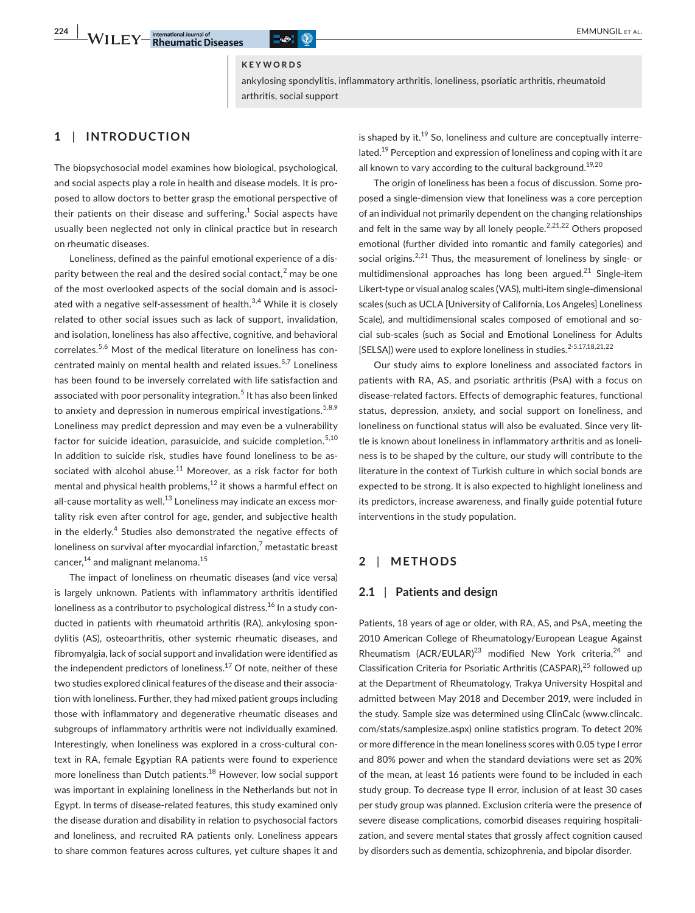#### **KEYWORDS**

ankylosing spondylitis, inflammatory arthritis, loneliness, psoriatic arthritis, rheumatoid arthritis, social support

# **1** | **INTRODUCTION**

The biopsychosocial model examines how biological, psychological, and social aspects play a role in health and disease models. It is proposed to allow doctors to better grasp the emotional perspective of their patients on their disease and suffering. $^1$  Social aspects have usually been neglected not only in clinical practice but in research on rheumatic diseases.

Loneliness, defined as the painful emotional experience of a disparity between the real and the desired social contact, $^2$  may be one of the most overlooked aspects of the social domain and is associated with a negative self-assessment of health. $3,4$  While it is closely related to other social issues such as lack of support, invalidation, and isolation, loneliness has also affective, cognitive, and behavioral correlates.5,6 Most of the medical literature on loneliness has concentrated mainly on mental health and related issues.5,7 Loneliness has been found to be inversely correlated with life satisfaction and associated with poor personality integration.<sup>5</sup> It has also been linked to anxiety and depression in numerous empirical investigations.<sup>5,8,9</sup> Loneliness may predict depression and may even be a vulnerability factor for suicide ideation, parasuicide, and suicide completion.<sup>5,10</sup> In addition to suicide risk, studies have found loneliness to be associated with alcohol abuse.<sup>11</sup> Moreover, as a risk factor for both mental and physical health problems, $12$  it shows a harmful effect on all-cause mortality as well. $^{13}$  Loneliness may indicate an excess mortality risk even after control for age, gender, and subjective health in the elderly.<sup>4</sup> Studies also demonstrated the negative effects of loneliness on survival after myocardial infarction, $^7$  metastatic breast cancer,<sup>14</sup> and malignant melanoma.<sup>15</sup>

The impact of loneliness on rheumatic diseases (and vice versa) is largely unknown. Patients with inflammatory arthritis identified loneliness as a contributor to psychological distress.<sup>16</sup> In a study conducted in patients with rheumatoid arthritis (RA), ankylosing spondylitis (AS), osteoarthritis, other systemic rheumatic diseases, and fibromyalgia, lack of social support and invalidation were identified as the independent predictors of loneliness.<sup>17</sup> Of note, neither of these two studies explored clinical features of the disease and their association with loneliness. Further, they had mixed patient groups including those with inflammatory and degenerative rheumatic diseases and subgroups of inflammatory arthritis were not individually examined. Interestingly, when loneliness was explored in a cross-cultural context in RA, female Egyptian RA patients were found to experience more loneliness than Dutch patients.<sup>18</sup> However, low social support was important in explaining loneliness in the Netherlands but not in Egypt. In terms of disease-related features, this study examined only the disease duration and disability in relation to psychosocial factors and loneliness, and recruited RA patients only. Loneliness appears to share common features across cultures, yet culture shapes it and is shaped by  $it^{19}$  So, loneliness and culture are conceptually interrelated.<sup>19</sup> Perception and expression of loneliness and coping with it are all known to vary according to the cultural background.<sup>19,20</sup>

The origin of loneliness has been a focus of discussion. Some proposed a single-dimension view that loneliness was a core perception of an individual not primarily dependent on the changing relationships and felt in the same way by all lonely people.<sup>2,21,22</sup> Others proposed emotional (further divided into romantic and family categories) and social origins.<sup>2,21</sup> Thus, the measurement of loneliness by single- or multidimensional approaches has long been argued.<sup>21</sup> Single-item Likert-type or visual analog scales (VAS), multi-item single-dimensional scales (such as UCLA [University of California, Los Angeles] Loneliness Scale), and multidimensional scales composed of emotional and social sub-scales (such as Social and Emotional Loneliness for Adults [SELSA]) were used to explore loneliness in studies.<sup>2-5,17,18,21,22</sup>

Our study aims to explore loneliness and associated factors in patients with RA, AS, and psoriatic arthritis (PsA) with a focus on disease-related factors. Effects of demographic features, functional status, depression, anxiety, and social support on loneliness, and loneliness on functional status will also be evaluated. Since very little is known about loneliness in inflammatory arthritis and as loneliness is to be shaped by the culture, our study will contribute to the literature in the context of Turkish culture in which social bonds are expected to be strong. It is also expected to highlight loneliness and its predictors, increase awareness, and finally guide potential future interventions in the study population.

# **2** | **METHODS**

#### **2.1** | **Patients and design**

Patients, 18 years of age or older, with RA, AS, and PsA, meeting the 2010 American College of Rheumatology/European League Against Rheumatism (ACR/EULAR)<sup>23</sup> modified New York criteria,<sup>24</sup> and Classification Criteria for Psoriatic Arthritis (CASPAR),<sup>25</sup> followed up at the Department of Rheumatology, Trakya University Hospital and admitted between May 2018 and December 2019, were included in the study. Sample size was determined using ClinCalc ([www.clincalc.](http://www.clincalc.com/stats/samplesize.aspx) [com/stats/samplesize.aspx](http://www.clincalc.com/stats/samplesize.aspx)) online statistics program. To detect 20% or more difference in the mean loneliness scores with 0.05 type I error and 80% power and when the standard deviations were set as 20% of the mean, at least 16 patients were found to be included in each study group. To decrease type II error, inclusion of at least 30 cases per study group was planned. Exclusion criteria were the presence of severe disease complications, comorbid diseases requiring hospitalization, and severe mental states that grossly affect cognition caused by disorders such as dementia, schizophrenia, and bipolar disorder.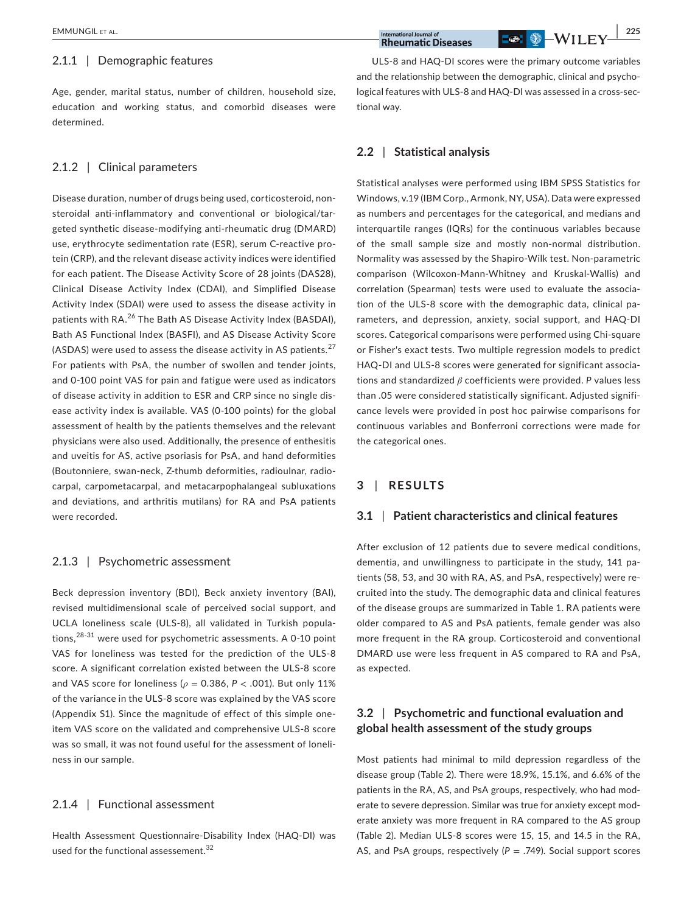#### 2.1.1 | Demographic features

Age, gender, marital status, number of children, household size, education and working status, and comorbid diseases were determined.

#### 2.1.2 | Clinical parameters

Disease duration, number of drugs being used, corticosteroid, nonsteroidal anti-inflammatory and conventional or biological/targeted synthetic disease-modifying anti-rheumatic drug (DMARD) use, erythrocyte sedimentation rate (ESR), serum C-reactive protein (CRP), and the relevant disease activity indices were identified for each patient. The Disease Activity Score of 28 joints (DAS28), Clinical Disease Activity Index (CDAI), and Simplified Disease Activity Index (SDAI) were used to assess the disease activity in patients with RA.<sup>26</sup> The Bath AS Disease Activity Index (BASDAI), Bath AS Functional Index (BASFI), and AS Disease Activity Score (ASDAS) were used to assess the disease activity in AS patients.<sup>27</sup> For patients with PsA, the number of swollen and tender joints, and 0-100 point VAS for pain and fatigue were used as indicators of disease activity in addition to ESR and CRP since no single disease activity index is available. VAS (0-100 points) for the global assessment of health by the patients themselves and the relevant physicians were also used. Additionally, the presence of enthesitis and uveitis for AS, active psoriasis for PsA, and hand deformities (Boutonniere, swan-neck, Z-thumb deformities, radioulnar, radiocarpal, carpometacarpal, and metacarpophalangeal subluxations and deviations, and arthritis mutilans) for RA and PsA patients were recorded.

## 2.1.3 | Psychometric assessment

Beck depression inventory (BDI), Beck anxiety inventory (BAI), revised multidimensional scale of perceived social support, and UCLA loneliness scale (ULS-8), all validated in Turkish populations,28-31 were used for psychometric assessments. A 0-10 point VAS for loneliness was tested for the prediction of the ULS-8 score. A significant correlation existed between the ULS-8 score and VAS score for loneliness (*ρ* = 0.386, *P* < .001). But only 11% of the variance in the ULS-8 score was explained by the VAS score (Appendix S1). Since the magnitude of effect of this simple oneitem VAS score on the validated and comprehensive ULS-8 score was so small, it was not found useful for the assessment of loneliness in our sample.

## 2.1.4 | Functional assessment

Health Assessment Questionnaire-Disability Index (HAQ-DI) was used for the functional assessement.<sup>32</sup>

ULS-8 and HAQ-DI scores were the primary outcome variables and the relationship between the demographic, clinical and psychological features with ULS-8 and HAQ-DI was assessed in a cross-sectional way.

## **2.2** | **Statistical analysis**

Statistical analyses were performed using IBM SPSS Statistics for Windows, v.19 (IBM Corp., Armonk, NY, USA). Data were expressed as numbers and percentages for the categorical, and medians and interquartile ranges (IQRs) for the continuous variables because of the small sample size and mostly non-normal distribution. Normality was assessed by the Shapiro-Wilk test. Non-parametric comparison (Wilcoxon-Mann-Whitney and Kruskal-Wallis) and correlation (Spearman) tests were used to evaluate the association of the ULS-8 score with the demographic data, clinical parameters, and depression, anxiety, social support, and HAQ-DI scores. Categorical comparisons were performed using Chi-square or Fisher's exact tests. Two multiple regression models to predict HAQ-DI and ULS-8 scores were generated for significant associations and standardized *β* coefficients were provided. *P* values less than .05 were considered statistically significant. Adjusted significance levels were provided in post hoc pairwise comparisons for continuous variables and Bonferroni corrections were made for the categorical ones.

# **3** | **RESULTS**

#### **3.1** | **Patient characteristics and clinical features**

After exclusion of 12 patients due to severe medical conditions, dementia, and unwillingness to participate in the study, 141 patients (58, 53, and 30 with RA, AS, and PsA, respectively) were recruited into the study. The demographic data and clinical features of the disease groups are summarized in Table 1. RA patients were older compared to AS and PsA patients, female gender was also more frequent in the RA group. Corticosteroid and conventional DMARD use were less frequent in AS compared to RA and PsA, as expected.

# **3.2** | **Psychometric and functional evaluation and global health assessment of the study groups**

Most patients had minimal to mild depression regardless of the disease group (Table 2). There were 18.9%, 15.1%, and 6.6% of the patients in the RA, AS, and PsA groups, respectively, who had moderate to severe depression. Similar was true for anxiety except moderate anxiety was more frequent in RA compared to the AS group (Table 2). Median ULS-8 scores were 15, 15, and 14.5 in the RA, AS, and PsA groups, respectively  $(P = .749)$ . Social support scores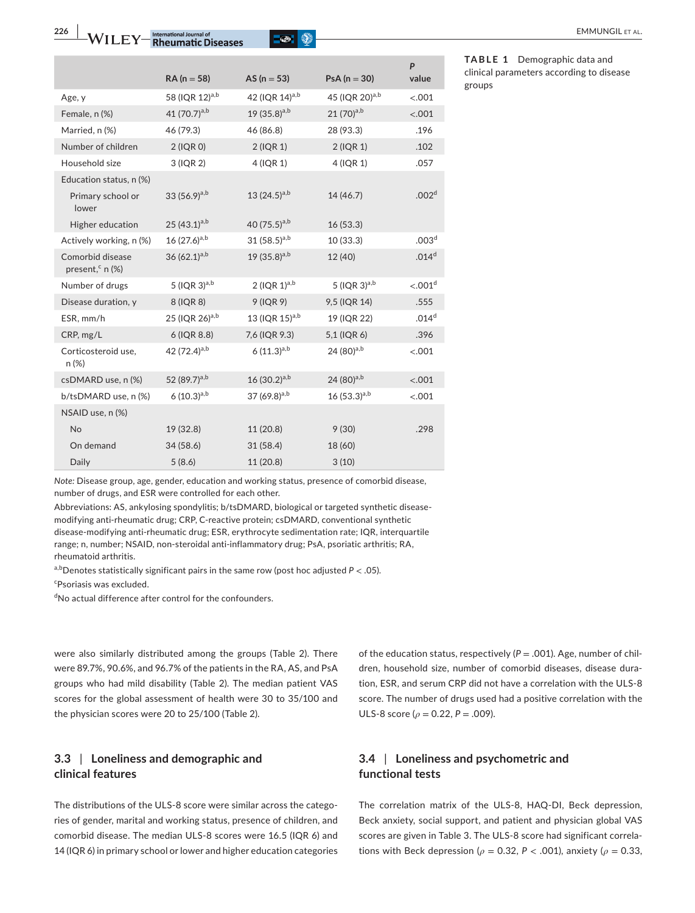**226 WII FY** Phormational Journal of **CO CO CO EMMUNGIL ET AL.** 



|                                                 | $RA (n = 58)$              | AS ( $n = 53$ )            | $PsA (n = 30)$             | P<br>value             |
|-------------------------------------------------|----------------------------|----------------------------|----------------------------|------------------------|
| Age, y                                          | 58 (IQR 12)a,b             | 42 (IQR 14) <sup>a,b</sup> | 45 (IQR 20) <sup>a,b</sup> | < .001                 |
| Female, n (%)                                   | 41 $(70.7)^{a,b}$          | 19 $(35.8)^{a,b}$          | $21(70)^{a,b}$             | < .001                 |
| Married, n (%)                                  | 46 (79.3)                  | 46 (86.8)                  | 28 (93.3)                  | .196                   |
| Number of children                              | $2$ (IQR 0)                | $2$ (IQR 1)                | 2 (IQR 1)                  | .102                   |
| Household size                                  | 3 (IQR 2)                  | $4$ (IQR 1)                | 4 (IQR 1)                  | .057                   |
| Education status, n (%)                         |                            |                            |                            |                        |
| Primary school or<br>lower                      | 33 $(56.9)^{a,b}$          | 13 $(24.5)^{a,b}$          | 14 (46.7)                  | .002 <sup>d</sup>      |
| Higher education                                | 25 $(43.1)^{a,b}$          | 40 $(75.5)^{a,b}$          | 16(53.3)                   |                        |
| Actively working, n (%)                         | $16(27.6)^{a,b}$           | 31 $(58.5)^{a,b}$          | 10(33.3)                   | .003 <sup>d</sup>      |
| Comorbid disease<br>present, <sup>c</sup> n (%) | 36 $(62.1)^{a,b}$          | 19 $(35.8)^{a,b}$          | 12 (40)                    | .014 <sup>d</sup>      |
| Number of drugs                                 | 5 (IQR $3)^{a,b}$          | 2 ( $IQR$ 1) $a,b$         | 5 (IQR $3)$ <sup>a,b</sup> | $< 0.001$ <sup>d</sup> |
| Disease duration, y                             | 8 (IQR 8)                  | 9 (IQR 9)                  | 9,5 (IQR 14)               | .555                   |
| ESR, mm/h                                       | 25 (IQR 26) <sup>a,b</sup> | 13 (IQR $15)^{a,b}$        | 19 (IQR 22)                | .014 <sup>d</sup>      |
| CRP, mg/L                                       | 6 (IQR 8.8)                | 7,6 (IQR 9.3)              | 5,1 (IQR 6)                | .396                   |
| Corticosteroid use,<br>$n (\%)$                 | 42 (72.4) <sup>a,b</sup>   | $6(11.3)^{a,b}$            | 24 (80) <sup>a,b</sup>     | < .001                 |
| csDMARD use, n (%)                              | 52 (89.7) <sup>a,b</sup>   | $16(30.2)^{a,b}$           | 24 $(80)^{a,b}$            | < .001                 |
| b/tsDMARD use, n (%)                            | $6(10.3)^{a,b}$            | 37 $(69.8)^{a,b}$          | $16(53.3)^{a,b}$           | < .001                 |
| NSAID use, n (%)                                |                            |                            |                            |                        |
| No                                              | 19 (32.8)                  | 11 (20.8)                  | 9(30)                      | .298                   |
| On demand                                       | 34 (58.6)                  | 31(58.4)                   | 18 (60)                    |                        |
| Daily                                           | 5(8.6)                     | 11 (20.8)                  | 3(10)                      |                        |

**TABLE 1** Demographic data and clinical parameters according to disease groups

*Note:* Disease group, age, gender, education and working status, presence of comorbid disease, number of drugs, and ESR were controlled for each other.

Abbreviations: AS, ankylosing spondylitis; b/tsDMARD, biological or targeted synthetic diseasemodifying anti-rheumatic drug; CRP, C-reactive protein; csDMARD, conventional synthetic disease-modifying anti-rheumatic drug; ESR, erythrocyte sedimentation rate; IQR, interquartile range; n, number; NSAID, non-steroidal anti-inflammatory drug; PsA, psoriatic arthritis; RA, rheumatoid arthritis.

a,bDenotes statistically significant pairs in the same row (post hoc adjusted  $P < .05$ ).

c Psoriasis was excluded.

d No actual difference after control for the confounders.

were also similarly distributed among the groups (Table 2). There were 89.7%, 90.6%, and 96.7% of the patients in the RA, AS, and PsA groups who had mild disability (Table 2). The median patient VAS scores for the global assessment of health were 30 to 35/100 and the physician scores were 20 to 25/100 (Table 2).

# **3.3** | **Loneliness and demographic and clinical features**

The distributions of the ULS-8 score were similar across the categories of gender, marital and working status, presence of children, and comorbid disease. The median ULS-8 scores were 16.5 (IQR 6) and 14 (IQR 6) in primary school or lower and higher education categories of the education status, respectively (*P* = .001). Age, number of children, household size, number of comorbid diseases, disease duration, ESR, and serum CRP did not have a correlation with the ULS-8 score. The number of drugs used had a positive correlation with the ULS-8 score ( $\rho$  = 0.22, P = .009).

# **3.4** | **Loneliness and psychometric and functional tests**

The correlation matrix of the ULS-8, HAQ-DI, Beck depression, Beck anxiety, social support, and patient and physician global VAS scores are given in Table 3. The ULS-8 score had significant correlations with Beck depression ( $\rho$  = 0.32,  $P$  < .001), anxiety ( $\rho$  = 0.33,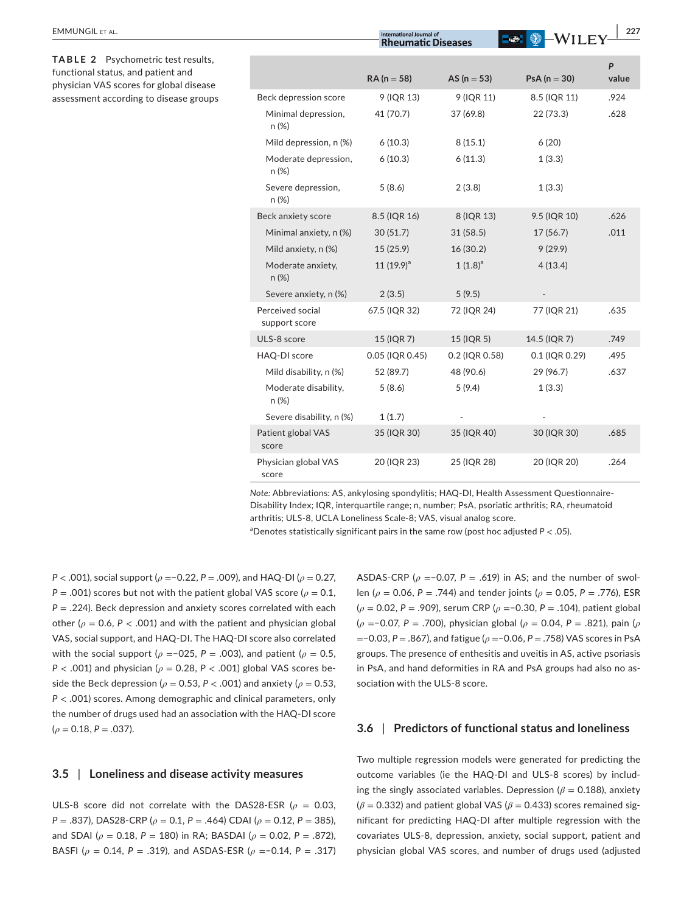| <b>EMMUNGIL ET AL.</b>                                                                                              |                                   | <b>International Journal of</b><br><b>Rheumatic Diseases</b> |                 | 227<br><b>WILEY</b> |            |
|---------------------------------------------------------------------------------------------------------------------|-----------------------------------|--------------------------------------------------------------|-----------------|---------------------|------------|
| TABLE 2 Psychometric test results,<br>functional status, and patient and<br>physician VAS scores for global disease |                                   | $RA (n = 58)$                                                | AS ( $n = 53$ ) | $PsA (n = 30)$      | P<br>value |
| assessment according to disease groups                                                                              | Beck depression score             | 9 (IQR 13)                                                   | 9 (IQR 11)      | 8.5 (IQR 11)        | .924       |
|                                                                                                                     | Minimal depression,<br>n (%)      | 41 (70.7)                                                    | 37 (69.8)       | 22(73.3)            | .628       |
|                                                                                                                     | Mild depression, n (%)            | 6(10.3)                                                      | 8(15.1)         | 6(20)               |            |
|                                                                                                                     | Moderate depression,<br>n (%)     | 6(10.3)                                                      | 6(11.3)         | 1(3.3)              |            |
|                                                                                                                     | Severe depression,<br>n (%)       | 5(8.6)                                                       | 2(3.8)          | 1(3.3)              |            |
|                                                                                                                     | Beck anxiety score                | 8.5 (IQR 16)                                                 | 8 (IQR 13)      | 9.5 (IQR 10)        | .626       |
|                                                                                                                     | Minimal anxiety, n (%)            | 30(51.7)                                                     | 31(58.5)        | 17(56.7)            | .011       |
|                                                                                                                     | Mild anxiety, n (%)               | 15(25.9)                                                     | 16(30.2)        | 9(29.9)             |            |
|                                                                                                                     | Moderate anxiety,<br>$n (\%)$     | 11 $(19.9)^a$                                                | $1(1.8)^a$      | 4(13.4)             |            |
|                                                                                                                     | Severe anxiety, n (%)             | 2(3.5)                                                       | 5(9.5)          |                     |            |
|                                                                                                                     | Perceived social<br>support score | 67.5 (IQR 32)                                                | 72 (IQR 24)     | 77 (IQR 21)         | .635       |
|                                                                                                                     | ULS-8 score                       | 15 (IQR 7)                                                   | 15 (IQR 5)      | 14.5 (IQR 7)        | .749       |
|                                                                                                                     | HAQ-DI score                      | 0.05 (IQR 0.45)                                              | 0.2 (IQR 0.58)  | 0.1 (IQR 0.29)      | .495       |
|                                                                                                                     | Mild disability, n (%)            | 52 (89.7)                                                    | 48 (90.6)       | 29 (96.7)           | .637       |
|                                                                                                                     | Moderate disability,<br>$n (\%)$  | 5(8.6)                                                       | 5(9.4)          | 1(3.3)              |            |
|                                                                                                                     | Severe disability, n (%)          | 1(1.7)                                                       |                 |                     |            |
|                                                                                                                     | Patient global VAS<br>score       | 35 (IQR 30)                                                  | 35 (IQR 40)     | 30 (IQR 30)         | .685       |
|                                                                                                                     | Physician global VAS<br>score     | 20 (IQR 23)                                                  | 25 (IQR 28)     | 20 (IQR 20)         | .264       |

*Note:* Abbreviations: AS, ankylosing spondylitis; HAQ-DI, Health Assessment Questionnaire-Disability Index; IQR, interquartile range; n, number; PsA, psoriatic arthritis; RA, rheumatoid arthritis; ULS-8, UCLA Loneliness Scale-8; VAS, visual analog score.

a Denotes statistically significant pairs in the same row (post hoc adjusted *P* < .05).

*P* < .001), social support (*ρ* =−0.22, *P* = .009), and HAQ-DI (*ρ* = 0.27,  $P = .001$ ) scores but not with the patient global VAS score ( $\rho = 0.1$ , *P* = .224). Beck depression and anxiety scores correlated with each other ( $\rho$  = 0.6,  $P$  < .001) and with the patient and physician global VAS, social support, and HAQ-DI. The HAQ-DI score also correlated with the social support ( $\rho$  =−025, P = .003), and patient ( $\rho$  = 0.5, *P* < .001) and physician (*ρ* = 0.28, *P* < .001) global VAS scores beside the Beck depression ( $\rho$  = 0.53, P < .001) and anxiety ( $\rho$  = 0.53, *P* < .001) scores. Among demographic and clinical parameters, only the number of drugs used had an association with the HAQ-DI score (*ρ* = 0.18, *P* = .037).

# **3.5** | **Loneliness and disease activity measures**

ULS-8 score did not correlate with the DAS28-ESR ( $\rho = 0.03$ , *P* = .837), DAS28-CRP (*ρ* = 0.1, *P* = .464) CDAI (*ρ* = 0.12, *P* = 385), and SDAI (*ρ* = 0.18, *P* = 180) in RA; BASDAI (*ρ* = 0.02, *P* = .872), BASFI (*ρ* = 0.14, *P* = .319), and ASDAS-ESR (*ρ* =−0.14, *P* = .317) ASDAS-CRP ( $\rho$  =−0.07, P = .619) in AS; and the number of swollen (*ρ* = 0.06, *P* = .744) and tender joints (*ρ* = 0.05, *P* = .776), ESR (*ρ* = 0.02, *P* = .909), serum CRP (*ρ* =−0.30, *P* = .104), patient global (*ρ* =−0.07, *P* = .700), physician global (*ρ* = 0.04, *P* = .821), pain (*ρ* =−0.03, *P* = .867), and fatigue (*ρ* =−0.06, *P* = .758) VAS scores in PsA groups. The presence of enthesitis and uveitis in AS, active psoriasis in PsA, and hand deformities in RA and PsA groups had also no association with the ULS-8 score.

#### **3.6** | **Predictors of functional status and loneliness**

Two multiple regression models were generated for predicting the outcome variables (ie the HAQ-DI and ULS-8 scores) by including the singly associated variables. Depression ( $\beta$  = 0.188), anxiety  $(\beta = 0.332)$  and patient global VAS ( $\beta = 0.433$ ) scores remained significant for predicting HAQ-DI after multiple regression with the covariates ULS-8, depression, anxiety, social support, patient and physician global VAS scores, and number of drugs used (adjusted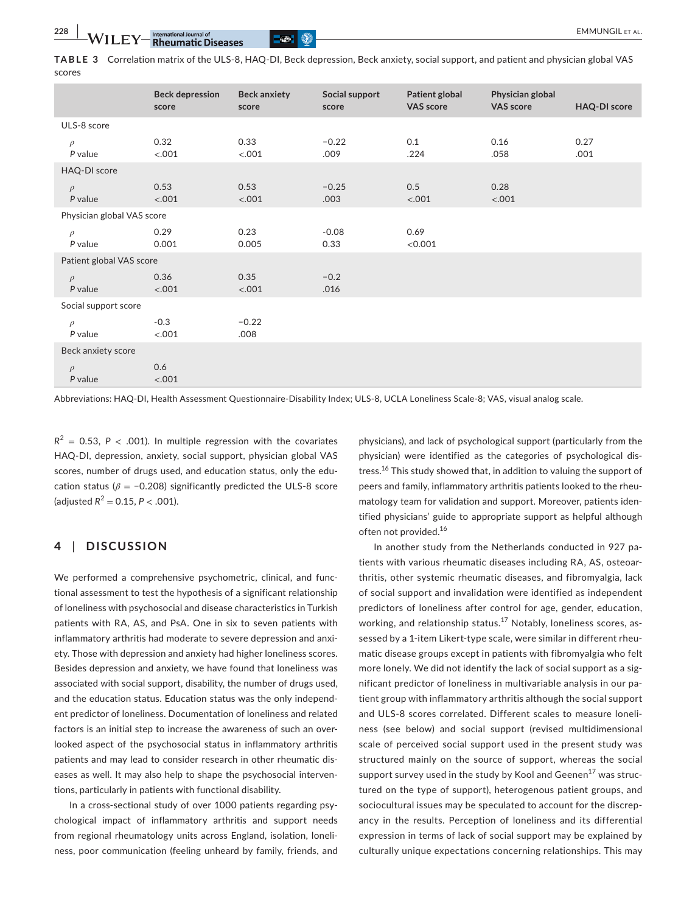**TABLE 3** Correlation matrix of the ULS-8, HAQ-DI, Beck depression, Beck anxiety, social support, and patient and physician global VAS scores

|                            | <b>Beck depression</b><br>score | <b>Beck anxiety</b><br>score | Social support<br>score | Patient global<br><b>VAS score</b> | Physician global<br><b>VAS score</b> | <b>HAQ-DI score</b> |  |
|----------------------------|---------------------------------|------------------------------|-------------------------|------------------------------------|--------------------------------------|---------------------|--|
| ULS-8 score                |                                 |                              |                         |                                    |                                      |                     |  |
| $\rho$<br>P value          | 0.32<br>< .001                  | 0.33<br>< .001               | $-0.22$<br>.009         | 0.1<br>.224                        | 0.16<br>.058                         | 0.27<br>.001        |  |
| HAQ-DI score               |                                 |                              |                         |                                    |                                      |                     |  |
| $\rho$<br>P value          | 0.53<br>< .001                  | 0.53<br>< .001               | $-0.25$<br>.003         | 0.5<br>< .001                      | 0.28<br>< .001                       |                     |  |
| Physician global VAS score |                                 |                              |                         |                                    |                                      |                     |  |
| $\rho$<br>P value          | 0.29<br>0.001                   | 0.23<br>0.005                | $-0.08$<br>0.33         | 0.69<br>< 0.001                    |                                      |                     |  |
| Patient global VAS score   |                                 |                              |                         |                                    |                                      |                     |  |
| $\rho$<br>P value          | 0.36<br>< .001                  | 0.35<br>< .001               | $-0.2$<br>.016          |                                    |                                      |                     |  |
| Social support score       |                                 |                              |                         |                                    |                                      |                     |  |
| $\rho$<br>P value          | $-0.3$<br>< .001                | $-0.22$<br>.008              |                         |                                    |                                      |                     |  |
| Beck anxiety score         |                                 |                              |                         |                                    |                                      |                     |  |
| $\rho$<br>P value          | 0.6<br>< .001                   |                              |                         |                                    |                                      |                     |  |

Abbreviations: HAQ-DI, Health Assessment Questionnaire-Disability Index; ULS-8, UCLA Loneliness Scale-8; VAS, visual analog scale.

 $R^2$  = 0.53, *P* < .001). In multiple regression with the covariates HAQ-DI, depression, anxiety, social support, physician global VAS scores, number of drugs used, and education status, only the education status ( $\beta$  = -0.208) significantly predicted the ULS-8 score (adjusted  $R^2 = 0.15$ ,  $P < .001$ ).

# **4** | **DISCUSSION**

We performed a comprehensive psychometric, clinical, and functional assessment to test the hypothesis of a significant relationship of loneliness with psychosocial and disease characteristics in Turkish patients with RA, AS, and PsA. One in six to seven patients with inflammatory arthritis had moderate to severe depression and anxiety. Those with depression and anxiety had higher loneliness scores. Besides depression and anxiety, we have found that loneliness was associated with social support, disability, the number of drugs used, and the education status. Education status was the only independent predictor of loneliness. Documentation of loneliness and related factors is an initial step to increase the awareness of such an overlooked aspect of the psychosocial status in inflammatory arthritis patients and may lead to consider research in other rheumatic diseases as well. It may also help to shape the psychosocial interventions, particularly in patients with functional disability.

In a cross-sectional study of over 1000 patients regarding psychological impact of inflammatory arthritis and support needs from regional rheumatology units across England, isolation, loneliness, poor communication (feeling unheard by family, friends, and

physicians), and lack of psychological support (particularly from the physician) were identified as the categories of psychological distress.<sup>16</sup> This study showed that, in addition to valuing the support of peers and family, inflammatory arthritis patients looked to the rheumatology team for validation and support. Moreover, patients identified physicians' guide to appropriate support as helpful although often not provided.<sup>16</sup>

In another study from the Netherlands conducted in 927 patients with various rheumatic diseases including RA, AS, osteoarthritis, other systemic rheumatic diseases, and fibromyalgia, lack of social support and invalidation were identified as independent predictors of loneliness after control for age, gender, education, working, and relationship status.<sup>17</sup> Notably, loneliness scores, assessed by a 1-item Likert-type scale, were similar in different rheumatic disease groups except in patients with fibromyalgia who felt more lonely. We did not identify the lack of social support as a significant predictor of loneliness in multivariable analysis in our patient group with inflammatory arthritis although the social support and ULS-8 scores correlated. Different scales to measure loneliness (see below) and social support (revised multidimensional scale of perceived social support used in the present study was structured mainly on the source of support, whereas the social support survey used in the study by Kool and Geenen<sup>17</sup> was structured on the type of support), heterogenous patient groups, and sociocultural issues may be speculated to account for the discrepancy in the results. Perception of loneliness and its differential expression in terms of lack of social support may be explained by culturally unique expectations concerning relationships. This may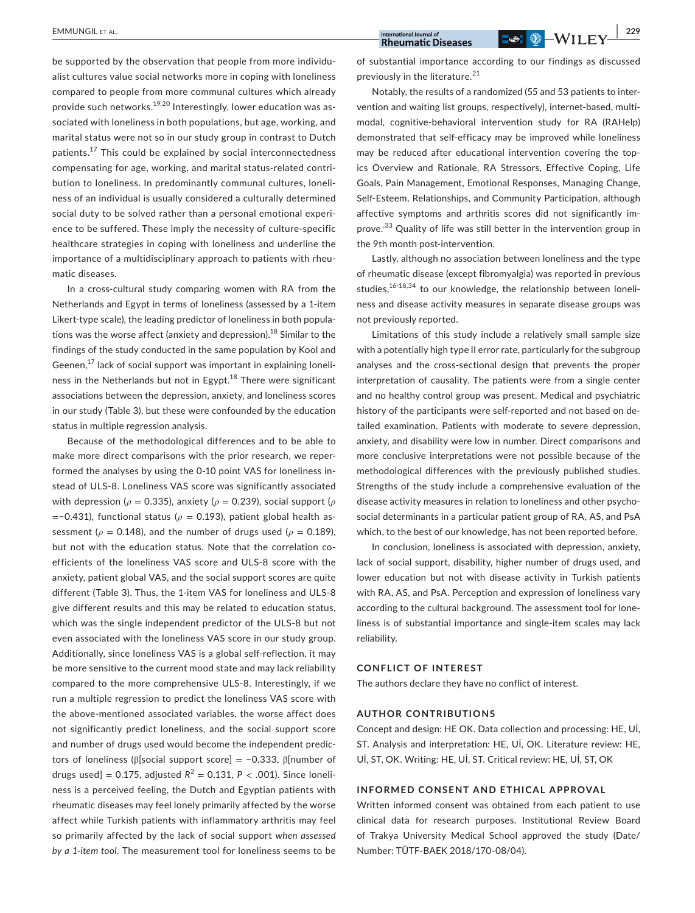**EMMUNGIL ET AL.** 229

be supported by the observation that people from more individualist cultures value social networks more in coping with loneliness compared to people from more communal cultures which already provide such networks.19,20 Interestingly, lower education was associated with loneliness in both populations, but age, working, and marital status were not so in our study group in contrast to Dutch patients.<sup>17</sup> This could be explained by social interconnectedness compensating for age, working, and marital status-related contribution to loneliness. In predominantly communal cultures, loneliness of an individual is usually considered a culturally determined social duty to be solved rather than a personal emotional experience to be suffered. These imply the necessity of culture-specific healthcare strategies in coping with loneliness and underline the importance of a multidisciplinary approach to patients with rheumatic diseases.

In a cross-cultural study comparing women with RA from the Netherlands and Egypt in terms of loneliness (assessed by a 1-item Likert-type scale), the leading predictor of loneliness in both populations was the worse affect (anxiety and depression).<sup>18</sup> Similar to the findings of the study conducted in the same population by Kool and Geenen, $^{17}$  lack of social support was important in explaining loneliness in the Netherlands but not in Egypt. $18$  There were significant associations between the depression, anxiety, and loneliness scores in our study (Table 3), but these were confounded by the education status in multiple regression analysis.

Because of the methodological differences and to be able to make more direct comparisons with the prior research, we reperformed the analyses by using the 0-10 point VAS for loneliness instead of ULS-8. Loneliness VAS score was significantly associated with depression ( $\rho$  = 0.335), anxiety ( $\rho$  = 0.239), social support ( $\rho$ =−0.431), functional status (*ρ* = 0.193), patient global health assessment ( $\rho$  = 0.148), and the number of drugs used ( $\rho$  = 0.189), but not with the education status. Note that the correlation coefficients of the loneliness VAS score and ULS-8 score with the anxiety, patient global VAS, and the social support scores are quite different (Table 3). Thus, the 1-item VAS for loneliness and ULS-8 give different results and this may be related to education status, which was the single independent predictor of the ULS-8 but not even associated with the loneliness VAS score in our study group. Additionally, since loneliness VAS is a global self-reflection, it may be more sensitive to the current mood state and may lack reliability compared to the more comprehensive ULS-8. Interestingly, if we run a multiple regression to predict the loneliness VAS score with the above-mentioned associated variables, the worse affect does not significantly predict loneliness, and the social support score and number of drugs used would become the independent predictors of loneliness (β[social support score] = −0.333, β[number of drugs used] = 0.175, adjusted  $R^2$  = 0.131,  $P < .001$ ). Since loneliness is a perceived feeling, the Dutch and Egyptian patients with rheumatic diseases may feel lonely primarily affected by the worse affect while Turkish patients with inflammatory arthritis may feel so primarily affected by the lack of social support *when assessed by a 1-item tool*. The measurement tool for loneliness seems to be

of substantial importance according to our findings as discussed previously in the literature.<sup>21</sup>

Notably, the results of a randomized (55 and 53 patients to intervention and waiting list groups, respectively), internet-based, multimodal, cognitive-behavioral intervention study for RA (RAHelp) demonstrated that self-efficacy may be improved while loneliness may be reduced after educational intervention covering the topics Overview and Rationale, RA Stressors, Effective Coping, Life Goals, Pain Management, Emotional Responses, Managing Change, Self-Esteem, Relationships, and Community Participation, although affective symptoms and arthritis scores did not significantly improve.,33 Quality of life was still better in the intervention group in the 9th month post-intervention.

Lastly, although no association between loneliness and the type of rheumatic disease (except fibromyalgia) was reported in previous studies, $16-18,34$  to our knowledge, the relationship between loneliness and disease activity measures in separate disease groups was not previously reported.

Limitations of this study include a relatively small sample size with a potentially high type II error rate, particularly for the subgroup analyses and the cross-sectional design that prevents the proper interpretation of causality. The patients were from a single center and no healthy control group was present. Medical and psychiatric history of the participants were self-reported and not based on detailed examination. Patients with moderate to severe depression, anxiety, and disability were low in number. Direct comparisons and more conclusive interpretations were not possible because of the methodological differences with the previously published studies. Strengths of the study include a comprehensive evaluation of the disease activity measures in relation to loneliness and other psychosocial determinants in a particular patient group of RA, AS, and PsA which, to the best of our knowledge, has not been reported before.

In conclusion, loneliness is associated with depression, anxiety, lack of social support, disability, higher number of drugs used, and lower education but not with disease activity in Turkish patients with RA, AS, and PsA. Perception and expression of loneliness vary according to the cultural background. The assessment tool for loneliness is of substantial importance and single-item scales may lack reliability.

## **CONFLICT OF INTEREST**

The authors declare they have no conflict of interest.

#### **AUTHOR CONTRIBUTIONS**

Concept and design: HE OK. Data collection and processing: HE, Uİ, ST. Analysis and interpretation: HE, Uİ, OK. Literature review: HE, Uİ, ST, OK. Writing: HE, Uİ, ST. Critical review: HE, Uİ, ST, OK

# **INFORMED CONSENT AND ETHICAL APPROVAL**

Written informed consent was obtained from each patient to use clinical data for research purposes. Institutional Review Board of Trakya University Medical School approved the study (Date/ Number: TÜTF-BAEK 2018/170-08/04).